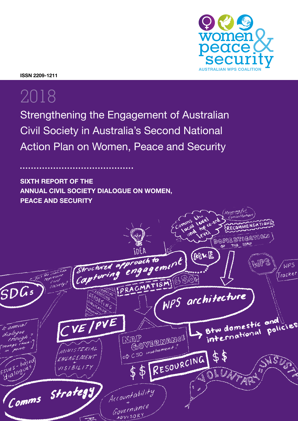

**ISSN 2209-1211**

# 2018

Strengthening the Engagement of Australian Civil Society in Australia's Second National Action Plan on Women, Peace and Security

**SIXTH REPORT OF THE ANNUAL CIVIL SOCIETY DIALOGUE ON WOMEN, PEACE AND SECURITY**

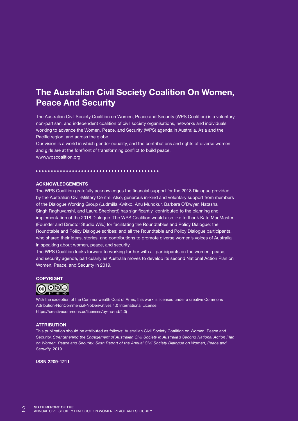### **The Australian Civil Society Coalition On Women, Peace And Security**

The Australian Civil Society Coalition on Women, Peace and Security (WPS Coalition) is a voluntary, non-partisan, and independent coalition of civil society organisations, networks and individuals working to advance the Women, Peace, and Security (WPS) agenda in Australia, Asia and the Pacific region, and across the globe.

Our vision is a world in which gender equality, and the contributions and rights of diverse women and girls are at the forefront of transforming conflict to build peace. www.wpscoalition.org

#### 

#### **ACKNOWLEDGEMENTS**

The WPS Coalition gratefully acknowledges the financial support for the 2018 Dialogue provided by the Australian Civil-Military Centre. Also, generous in-kind and voluntary support from members of the Dialogue Working Group (Ludmilla Kwitko, Anu Mundkur, Barbara O'Dwyer, Natasha Singh Raghuvanshi, and Laura Shepherd) has significantly contributed to the planning and implementation of the 2018 Dialogue. The WPS Coalition would also like to thank Kate MacMaster (Founder and Director Studio Wild) for facilitating the Roundtables and Policy Dialogue; the Roundtable and Policy Dialogue scribes; and all the Roundtable and Policy Dialogue participants, who shared their ideas, stories, and contributions to promote diverse women's voices of Australia in speaking about women, peace, and security.

The WPS Coalition looks forward to working further with all participants on the women, peace, and security agenda, particularly as Australia moves to develop its second National Action Plan on Women, Peace, and Security in 2019.

#### **COPYRIGHT**



With the exception of the Commonwealth Coat of Arms, this work is licensed under a creative Commons Attribution-NonCommercial-NoDerivatives 4.0 International License. https://creativecommons.or/licenses/by-nc-nd/4.0)

#### **ATTRIBUTION**

This publication should be attributed as follows: Australian Civil Society Coalition on Women, Peace and Security, *Strengthening the Engagement of Australian Civil Society in Australia's Second National Action Plan on Women, Peace and Security: Sixth Report of the Annual Civil Society Dialogue on Women, Peace and Security.* 2019.

#### **ISSN 2209-1211**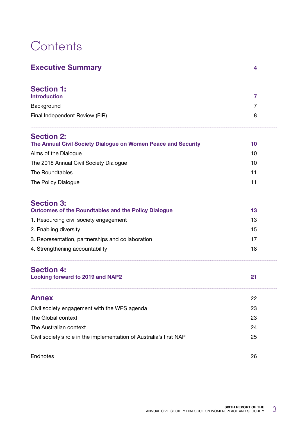## **Contents**

| <b>Executive Summary</b>                                            | 4  |
|---------------------------------------------------------------------|----|
| <b>Section 1:</b>                                                   |    |
| <b>Introduction</b>                                                 | 7  |
| Background                                                          | 7  |
| Final Independent Review (FIR)                                      | 8  |
| <b>Section 2:</b>                                                   |    |
| The Annual Civil Society Dialogue on Women Peace and Security       | 10 |
| Aims of the Dialogue                                                | 10 |
| The 2018 Annual Civil Society Dialogue                              | 10 |
| The Roundtables                                                     | 11 |
| The Policy Dialogue                                                 | 11 |
| <b>Section 3:</b>                                                   |    |
| <b>Outcomes of the Roundtables and the Policy Dialogue</b>          | 13 |
| 1. Resourcing civil society engagement                              | 13 |
| 2. Enabling diversity                                               | 15 |
| 3. Representation, partnerships and collaboration                   | 17 |
| 4. Strengthening accountability                                     | 18 |
| <b>Section 4:</b>                                                   |    |
| <b>Looking forward to 2019 and NAP2</b>                             | 21 |
| <b>Annex</b>                                                        | 22 |
| Civil society engagement with the WPS agenda                        | 23 |
| The Global context                                                  | 23 |
| The Australian context                                              | 24 |
| Civil society's role in the implementation of Australia's first NAP | 25 |
|                                                                     |    |
| Endnotes                                                            | 26 |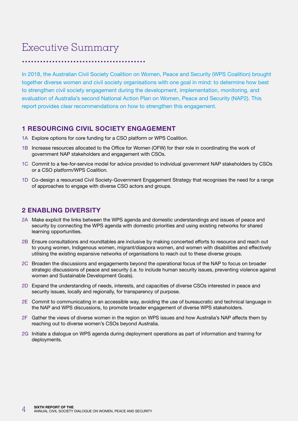## Executive Summary

#### . . . . . . . . . . . . . . . . . .

In 2018, the Australian Civil Society Coalition on Women, Peace and Security (WPS Coalition) brought together diverse women and civil society organisations with one goal in mind: to determine how best to strengthen civil society engagement during the development, implementation, monitoring, and evaluation of Australia's second National Action Plan on Women, Peace and Security (NAP2). This report provides clear recommendations on how to strengthen this engagement.

#### **1 RESOURCING CIVIL SOCIETY ENGAGEMENT**

- 1A Explore options for core funding for a CSO platform or WPS Coalition.
- 1B Increase resources allocated to the Office for Women (OFW) for their role in coordinating the work of government NAP stakeholders and engagement with CSOs.
- 1C Commit to a fee-for-service model for advice provided to individual government NAP stakeholders by CSOs or a CSO platform/WPS Coalition.
- 1D Co-design a resourced Civil Society-Government Engagement Strategy that recognises the need for a range of approaches to engage with diverse CSO actors and groups.

### **2 ENABLING DIVERSITY**

- 2A Make explicit the links between the WPS agenda and domestic understandings and issues of peace and security by connecting the WPS agenda with domestic priorities and using existing networks for shared learning opportunities.
- 2B Ensure consultations and roundtables are inclusive by making concerted efforts to resource and reach out to young women, Indigenous women, migrant/diaspora women, and women with disabilities and effectively utilising the existing expansive networks of organisations to reach out to these diverse groups.
- 2C Broaden the discussions and engagements beyond the operational focus of the NAP to focus on broader strategic discussions of peace and security (i.e. to include human security issues, preventing violence against women and Sustainable Development Goals).
- 2D Expand the understanding of needs, interests, and capacities of diverse CSOs interested in peace and security issues, locally and regionally, for transparency of purpose.
- 2E Commit to communicating in an accessible way, avoiding the use of bureaucratic and technical language in the NAP and WPS discussions, to promote broader engagement of diverse WPS stakeholders.
- 2F Gather the views of diverse women in the region on WPS issues and how Australia's NAP affects them by reaching out to diverse women's CSOs beyond Australia.
- 2G Initiate a dialogue on WPS agenda during deployment operations as part of information and training for deployments.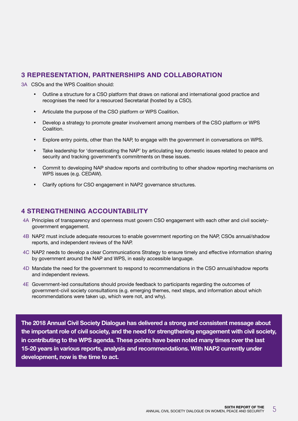### **3 REPRESENTATION, PARTNERSHIPS AND COLLABORATION**

3A CSOs and the WPS Coalition should:

- Outline a structure for a CSO platform that draws on national and international good practice and recognises the need for a resourced Secretariat (hosted by a CSO).
- Articulate the purpose of the CSO platform or WPS Coalition.
- Develop a strategy to promote greater involvement among members of the CSO platform or WPS Coalition.
- Explore entry points, other than the NAP, to engage with the government in conversations on WPS.
- Take leadership for 'domesticating the NAP' by articulating key domestic issues related to peace and security and tracking government's commitments on these issues.
- Commit to developing NAP shadow reports and contributing to other shadow reporting mechanisms on WPS issues (e.g. CEDAW).
- Clarify options for CSO engagement in NAP2 governance structures.

#### **4 STRENGTHENING ACCOUNTABILITY**

- 4A Principles of transparency and openness must govern CSO engagement with each other and civil societygovernment engagement.
- 4B NAP2 must include adequate resources to enable government reporting on the NAP, CSOs annual/shadow reports, and independent reviews of the NAP.
- 4C NAP2 needs to develop a clear Communications Strategy to ensure timely and effective information sharing by government around the NAP and WPS, in easily accessible language.
- 4D Mandate the need for the government to respond to recommendations in the CSO annual/shadow reports and independent reviews.
- 4E Government-led consultations should provide feedback to participants regarding the outcomes of government-civil society consultations (e.g. emerging themes, next steps, and information about which recommendations were taken up, which were not, and why).

**The 2018 Annual Civil Society Dialogue has delivered a strong and consistent message about the important role of civil society, and the need for strengthening engagement with civil society, in contributing to the WPS agenda. These points have been noted many times over the last 15-20 years in various reports, analysis and recommendations. With NAP2 currently under development, now is the time to act.**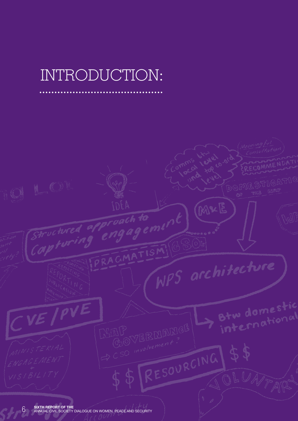## INTRODUCTION:

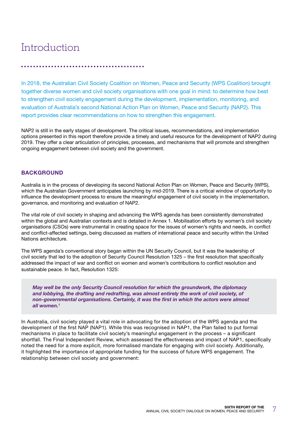### Introduction

...............................

In 2018, the Australian Civil Society Coalition on Women, Peace and Security (WPS Coalition) brought together diverse women and civil society organisations with one goal in mind: to determine how best to strengthen civil society engagement during the development, implementation, monitoring, and evaluation of Australia's second National Action Plan on Women, Peace and Security (NAP2). This report provides clear recommendations on how to strengthen this engagement.

NAP2 is still in the early stages of development. The critical issues, recommendations, and implementation options presented in this report therefore provide a timely and useful resource for the development of NAP2 during 2019. They offer a clear articulation of principles, processes, and mechanisms that will promote and strengthen ongoing engagement between civil society and the government.

#### **BACKGROUND**

Australia is in the process of developing its second National Action Plan on Women, Peace and Security (WPS), which the Australian Government anticipates launching by mid-2019. There is a critical window of opportunity to influence the development process to ensure the meaningful engagement of civil society in the implementation, governance, and monitoring and evaluation of NAP2.

The vital role of civil society in shaping and advancing the WPS agenda has been consistently demonstrated within the global and Australian contexts and is detailed in Annex 1. Mobilisation efforts by women's civil society organisations (CSOs) were instrumental in creating space for the issues of women's rights and needs, in conflict and conflict-affected settings, being discussed as matters of international peace and security within the United Nations architecture.

The WPS agenda's conventional story began within the UN Security Council, but it was the leadership of civil society that led to the adoption of Security Council Resolution 1325 – the first resolution that specifically addressed the impact of war and conflict on women and women's contributions to conflict resolution and sustainable peace. In fact, Resolution 1325:

*May well be the only Security Council resolution for which the groundwork, the diplomacy and lobbying, the drafting and redrafting, was almost entirely the work of civil society, of non-governmental organisations. Certainly, it was the first in which the actors were almost all women.1*

In Australia, civil society played a vital role in advocating for the adoption of the WPS agenda and the development of the first NAP (NAP1). While this was recognised in NAP1, the Plan failed to put formal mechanisms in place to facilitate civil society's meaningful engagement in the process – a significant shortfall. The Final Independent Review, which assessed the effectiveness and impact of NAP1, specifically noted the need for a more explicit, more formalised mandate for engaging with civil society. Additionally, it highlighted the importance of appropriate funding for the success of future WPS engagement. The relationship between civil society and government: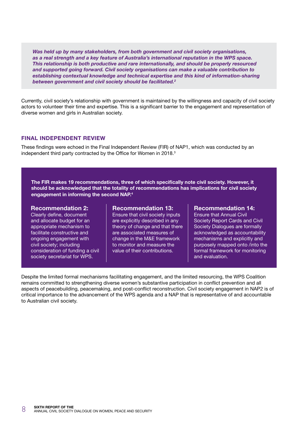*Was held up by many stakeholders, from both government and civil society organisations, as a real strength and a key feature of Australia's international reputation in the WPS space. This relationship is both productive and rare internationally, and should be properly resourced and supported going forward. Civil society organisations can make a valuable contribution to establishing contextual knowledge and technical expertise and this kind of information-sharing between government and civil society should be facilitated.2*

Currently, civil society's relationship with government is maintained by the willingness and capacity of civil society actors to volunteer their time and expertise. This is a significant barrier to the engagement and representation of diverse women and girls in Australian society.

#### **FINAL INDEPENDENT REVIEW**

These findings were echoed in the Final Independent Review (FIR) of NAP1, which was conducted by an independent third party contracted by the Office for Women in 2018.<sup>3</sup>

**The FIR makes 19 recommendations, three of which specifically note civil society. However, it should be acknowledged that the totality of recommendations has implications for civil society engagement in informing the second NAP.4**

#### **Recommendation 2:**

Clearly define, document and allocate budget for an appropriate mechanism to facilitate constructive and ongoing engagement with civil society; including consideration of funding a civil society secretariat for WPS.

#### **Recommendation 13:**

Ensure that civil society inputs are explicitly described in any theory of change and that there are associated measures of change in the M&E framework to monitor and measure the value of their contributions.

#### **Recommendation 14:**

Ensure that Annual Civil Society Report Cards and Civil Society Dialogues are formally acknowledged as accountability mechanisms and explicitly and purposely mapped onto /into the formal framework for monitoring and evaluation.

Despite the limited formal mechanisms facilitating engagement, and the limited resourcing, the WPS Coalition remains committed to strengthening diverse women's substantive participation in conflict prevention and all aspects of peacebuilding, peacemaking, and post-conflict reconstruction. Civil society engagement in NAP2 is of critical importance to the advancement of the WPS agenda and a NAP that is representative of and accountable to Australian civil society.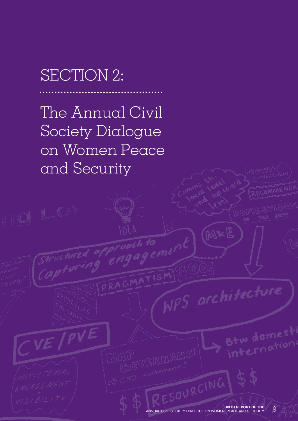

 $\mathcal{C}ap^{\prime}$ 

CVE TOVE

The Annual Civil Society Dialogue on Women Peace and Security

WPS architecture

Btw domesti

 $46$ 

 $n^{\text{th}}$ 

 $m^{th}$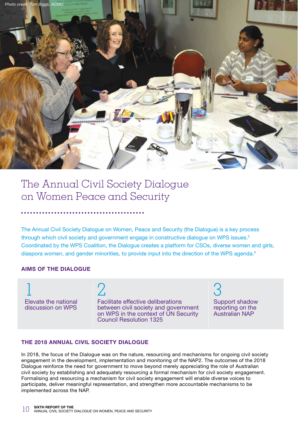

### The Annual Civil Society Dialogue on Women Peace and Security

The Annual Civil Society Dialogue on Women, Peace and Security (the Dialogue) is a key process through which civil society and government engage in constructive dialogue on WPS issues.<sup>5</sup> Coordinated by the WPS Coalition, the Dialogue creates a platform for CSOs, diverse women and girls, diaspora women, and gender minorities, to provide input into the direction of the WPS agenda.<sup>6</sup>

#### **AIMS OF THE DIALOGUE**

Elevate the national discussion on WPS 1 2 3

Facilitate effective deliberations between civil society and government on WPS in the context of UN Security Council Resolution 1325

Support shadow reporting on the Australian NAP

#### **THE 2018 ANNUAL CIVIL SOCIETY DIALOGUE**

In 2018, the focus of the Dialogue was on the nature, resourcing and mechanisms for ongoing civil society engagement in the development, implementation and monitoring of the NAP2. The outcomes of the 2018 Dialogue reinforce the need for government to move beyond merely appreciating the role of Australian civil society by establishing and adequately resourcing a formal mechanism for civil society engagement. Formalising and resourcing a mechanism for civil society engagement will enable diverse voices to participate, deliver meaningful representation, and strengthen more accountable mechanisms to be implemented across the NAP.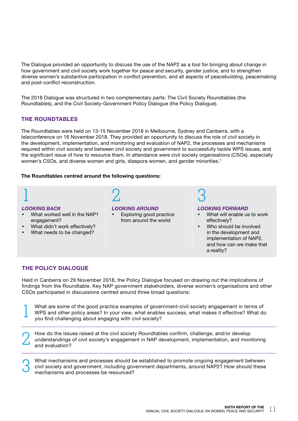The Dialogue provided an opportunity to discuss the use of the NAP2 as a tool for bringing about change in how government and civil society work together for peace and security, gender justice, and to strengthen diverse women's substantive participation in conflict prevention, and all aspects of peacebuilding, peacemaking and post-conflict reconstruction.

The 2018 Dialogue was structured in two complementary parts: The Civil Society Roundtables (the Roundtables), and the Civil Society-Government Policy Dialogue (the Policy Dialogue).

#### **THE ROUNDTABLES**

The Roundtables were held on 13-15 November 2018 in Melbourne, Sydney and Canberra, with a teleconference on 16 November 2018. They provided an opportunity to discuss the role of civil society in the development, implementation, and monitoring and evaluation of NAP2, the processes and mechanisms required within civil society and between civil society and government to successfully tackle WPS issues, and the significant issue of how to resource them. In attendance were civil society organisations (CSOs), especially women's CSOs, and diverse women and girls, diaspora women, and gender minorities.<sup>7</sup>

#### **The Roundtables centred around the following questions:**

## 1 2 3

#### *LOOKING BACK*

- What worked well in the NAP1 engagement?
- What didn't work effectively?
- What needs to be changed?

#### *LOOKING AROUND*

**Exploring good practice** from around the world

#### *LOOKING FORWARD*

- What will enable us to work effectively?
- Who should be involved in the development and implementation of NAP2, and how can we make that a reality?

#### **THE POLICY DIALOGUE**

Held in Canberra on 29 November 2018, the Policy Dialogue focused on drawing out the implications of findings from the Roundtable. Key NAP government stakeholders, diverse women's organisations and other CSOs participated in discussions centred around three broad questions:

1 What are some of the good practice examples of government-civil society engagement in terms of WPS and other policy areas? In your view, what enables success, what makes it effective? What do you find challenging about engaging with civil society?

2 How do the issues raised at the civil society Roundtables confirm, challenge, and/or develop understandings of civil society's engagement in NAP development, implementation, and monitoring and evaluation?

3 What mechanisms and processes should be established to promote ongoing engagement between civil society and government, including government departments, around NAP2? How should these mechanisms and processes be resourced?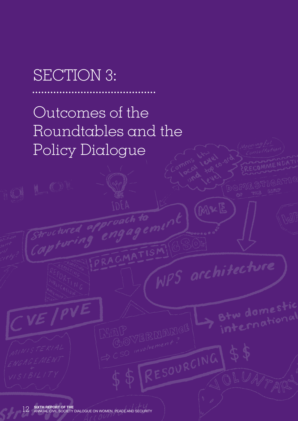## SECTION 3:

Captu

CVE PIVE

## Outcomes of the Roundtables and the Policy Dialogue

approach to

PRAGMATISM

 $\tilde{\mathcal{B}}$  to  $\mathcal{B}$ 

 $\Delta$ se lë

WPS architecture

Btw domestic

 $\mathcal{Z} \mathcal{Z}$ 

crnational

**SIXTH REPORT OF THE**  DIALOGUE ON WOMEN, PEACE AND SECURITY **SIXTH REPORT OF THE PORT OF THE SEXTHERE AND SECURITY SOLUTION OF THE REPORT OF THE SOCIETY OF THE SOCIETY DIALOGUE ON WOMEN, PEACE AND SECURITY ISSUED AND SECURITY OF THE SOCIETY DIALOGUE ON WOMEN, PEACE AND SECURITY ISS**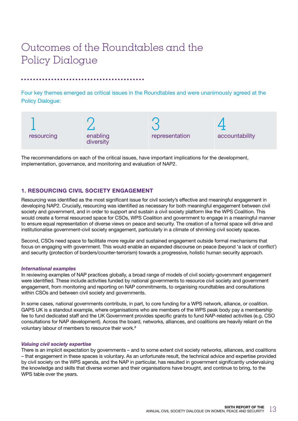## Outcomes of the Roundtables and the Policy Dialogue

#### 

Four key themes emerged as critical issues in the Roundtables and were unanimously agreed at the Policy Dialogue:



The recommendations on each of the critical issues, have important implications for the development, implementation, governance, and monitoring and evaluation of NAP2.

#### **1. RESOURCING CIVIL SOCIETY ENGAGEMENT**

Resourcing was identified as the most significant issue for civil society's effective and meaningful engagement in developing NAP2. Crucially, resourcing was identified as necessary for both meaningful engagement between civil society and government, and in order to support and sustain a civil society platform like the WPS Coalition. This would create a formal resourced space for CSOs, WPS Coalition and government to engage in a meaningful manner to ensure equal representation of diverse views on peace and security. The creation of a formal space will drive and institutionalise government-civil society engagement, particularly in a climate of shrinking civil society spaces.

Second, CSOs need space to facilitate more regular and sustained engagement outside formal mechanisms that focus on engaging with government. This would enable an expanded discourse on peace (beyond 'a lack of conflict') and security (protection of borders/counter-terrorism) towards a progressive, holistic human security approach.

#### *International examples*

In reviewing examples of NAP practices globally, a broad range of models of civil society-government engagement were identified. These include activities funded by national governments to resource civil society and government engagement, from monitoring and reporting on NAP commitments, to organising roundtables and consultations within CSOs and between civil society and governments.

In some cases, national governments contribute, in part, to core funding for a WPS network, alliance, or coalition. GAPS UK is a standout example, where organisations who are members of the WPS peak body pay a membership fee to fund dedicated staff and the UK Government provides specific grants to fund NAP-related activities (e.g. CSO consultations for NAP development). Across the board, networks, alliances, and coalitions are heavily reliant on the voluntary labour of members to resource their work.<sup>8</sup>

#### *Valuing civil society expertise*

There is an implicit expectation by governments – and to some extent civil society networks, alliances, and coalitions – that engagement in these spaces is voluntary. As an unfortunate result, the technical advice and expertise provided by civil society on the WPS agenda, and the NAP in particular, has resulted in government significantly undervaluing the knowledge and skills that diverse women and their organisations have brought, and continue to bring, to the WPS table over the years.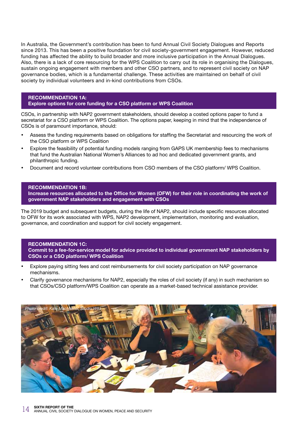In Australia, the Government's contribution has been to fund Annual Civil Society Dialogues and Reports since 2013. This has been a positive foundation for civil society-government engagement. However, reduced funding has affected the ability to build broader and more inclusive participation in the Annual Dialogues. Also, there is a lack of core resourcing for the WPS Coalition to carry out its role in organising the Dialogues, sustain ongoing engagement with members and other CSO partners, and to represent civil society on NAP governance bodies, which is a fundamental challenge. These activities are maintained on behalf of civil society by individual volunteers and in-kind contributions from CSOs.

#### **RECOMMENDATION 1A: Explore options for core funding for a CSO platform or WPS Coalition**

CSOs, in partnership with NAP2 government stakeholders, should develop a costed options paper to fund a secretariat for a CSO platform or WPS Coalition. The options paper, keeping in mind that the independence of CSOs is of paramount importance, should:

- Assess the funding requirements based on obligations for staffing the Secretariat and resourcing the work of the CSO platform or WPS Coalition
- Explore the feasibility of potential funding models ranging from GAPS UK membership fees to mechanisms that fund the Australian National Women's Alliances to ad hoc and dedicated government grants, and philanthropic funding.
- Document and record volunteer contributions from CSO members of the CSO platform/ WPS Coalition.

#### **RECOMMENDATION 1B:**

**Increase resources allocated to the Office for Women (OFW) for their role in coordinating the work of government NAP stakeholders and engagement with CSOs**

The 2019 budget and subsequent budgets, during the life of NAP2, should include specific resources allocated to OFW for its work associated with WPS, NAP2 development, implementation, monitoring and evaluation, governance, and coordination and support for civil society engagement.

#### **RECOMMENDATION 1C:**

**Commit to a fee-for-service model for advice provided to individual government NAP stakeholders by CSOs or a CSO platform/ WPS Coalition**

- Explore paying sitting fees and cost reimbursements for civil society participation on NAP governance mechanisms.
- Clarify governance mechanisms for NAP2, especially the roles of civil society (if any) in such mechanism so that CSOs/CSO platform/WPS Coalition can operate as a market-based technical assistance provider.

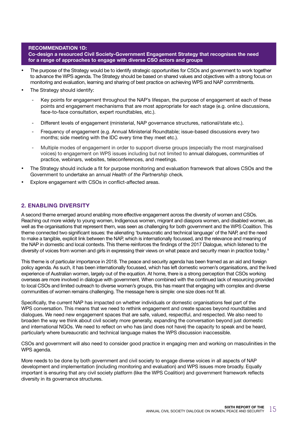#### **RECOMMENDATION 1D:**

**Co-design a resourced Civil Society-Government Engagement Strategy that recognises the need for a range of approaches to engage with diverse CSO actors and groups** 

- The purpose of the Strategy would be to identify strategic opportunities for CSOs and government to work together to advance the WPS agenda. The Strategy should be based on shared values and objectives with a strong focus on monitoring and evaluation, learning and sharing of best practice on achieving WPS and NAP commitments.
- The Strategy should identify:
	- Key points for engagement throughout the NAP's lifespan, the purpose of engagement at each of these points and engagement mechanisms that are most appropriate for each stage (e.g. online discussions, face-to-face consultation, expert roundtables, etc.).
	- Different levels of engagement (ministerial, NAP governance structures, national/state etc.).
	- Frequency of engagement (e.g. Annual Ministerial Roundtable; issue-based discussions every two months; side meeting with the IDC every time they meet etc.).
	- Multiple modes of engagement in order to support diverse groups (especially the most marginalised voices) to engagement on WPS issues including but not limited to annual dialogues, communities of practice, webinars, websites, teleconferences, and meetings.
- The Strategy should include a fit for purpose monitoring and evaluation framework that allows CSOs and the Government to undertake an annual *Health of the Partnership* check*.*
- Explore engagement with CSOs in conflict-affected areas.

#### **2. ENABLING DIVERSITY**

A second theme emerged around enabling more effective engagement across the diversity of women and CSOs. Reaching out more widely to young women, Indigenous women, migrant and diaspora women, and disabled women, as well as the organisations that represent them, was seen as challenging for both government and the WPS Coalition. This theme connected two significant issues: the alienating 'bureaucratic and technical language' of the NAP, and the need to make a tangible, explicit link between the NAP, which is internationally focussed, and the relevance and meaning of the NAP in domestic and local contexts. This theme reinforces the findings of the 2017 Dialogue, which listened to the diversity of voices from women and girls in expressing their views on what peace and security mean in practice today.<sup>9</sup>

This theme is of particular importance in 2018. The peace and security agenda has been framed as an aid and foreign policy agenda. As such, it has been internationally focussed, which has left domestic women's organisations, and the lived experience of Australian women, largely out of the equation. At home, there is a strong perception that CSOs working overseas are more involved in dialogue with government. When combined with the continued lack of resourcing provided to local CSOs and limited outreach to diverse women's groups, this has meant that engaging with complex and diverse communities of women remains challenging. The message here is simple: one size does not fit all.

Specifically, the current NAP has impacted on whether individuals or domestic organisations feel part of the WPS conversation. This means that we need to rethink engagement and create spaces beyond roundtables and dialogues. We need new engagement spaces that are safe, valued, respectful, and respected. We also need to broaden the way we think about civil society more generally, expanding the conversation beyond just domestic and international NGOs. We need to reflect on who has (and does not have) the capacity to speak and be heard, particularly where bureaucratic and technical language makes the WPS discussion inaccessible.

CSOs and government will also need to consider good practice in engaging men and working on masculinities in the WPS agenda.

More needs to be done by both government and civil society to engage diverse voices in all aspects of NAP development and implementation (including monitoring and evaluation) and WPS issues more broadly. Equally important is ensuring that any civil society platform (like the WPS Coalition) and government framework reflects diversity in its governance structures.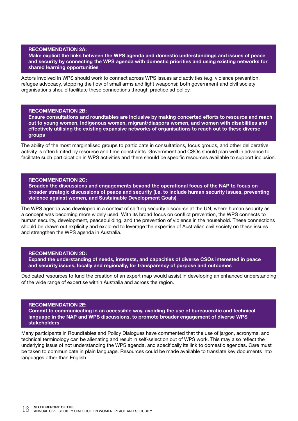#### **RECOMMENDATION 2A:**

**Make explicit the links between the WPS agenda and domestic understandings and issues of peace and security by connecting the WPS agenda with domestic priorities and using existing networks for shared learning opportunities**

Actors involved in WPS should work to connect across WPS issues and activities (e.g. violence prevention, refugee advocacy, stopping the flow of small arms and light weapons); both government and civil society organisations should facilitate these connections through practice ad policy.

#### **RECOMMENDATION 2B:**

**Ensure consultations and roundtables are inclusive by making concerted efforts to resource and reach out to young women, Indigenous women, migrant/diaspora women, and women with disabilities and effectively utilising the existing expansive networks of organisations to reach out to these diverse groups**

The ability of the most marginalised groups to participate in consultations, focus groups, and other deliberative activity is often limited by resource and time constraints. Government and CSOs should plan well in advance to facilitate such participation in WPS activities and there should be specific resources available to support inclusion.

#### **RECOMMENDATION 2C:**

**Broaden the discussions and engagements beyond the operational focus of the NAP to focus on broader strategic discussions of peace and security (i.e. to include human security issues, preventing violence against women, and Sustainable Development Goals)**

The WPS agenda was developed in a context of shifting security discourse at the UN, where human security as a concept was becoming more widely used. With its broad focus on conflict prevention, the WPS connects to human security, development, peacebuilding, and the prevention of violence in the household. These connections should be drawn out explicitly and explored to leverage the expertise of Australian civil society on these issues and strengthen the WPS agenda in Australia.

#### **RECOMMENDATION 2D:**

**Expand the understanding of needs, interests, and capacities of diverse CSOs interested in peace and security issues, locally and regionally, for transparency of purpose and outcomes**

Dedicated resources to fund the creation of an expert map would assist in developing an enhanced understanding of the wide range of expertise within Australia and across the region.

#### **RECOMMENDATION 2E:**

**Commit to communicating in an accessible way, avoiding the use of bureaucratic and technical language in the NAP and WPS discussions, to promote broader engagement of diverse WPS stakeholders**

Many participants in Roundtables and Policy Dialogues have commented that the use of jargon, acronyms, and technical terminology can be alienating and result in self-selection out of WPS work. This may also reflect the underlying issue of not understanding the WPS agenda, and specifically its link to domestic agendas. Care must be taken to communicate in plain language. Resources could be made available to translate key documents into languages other than English.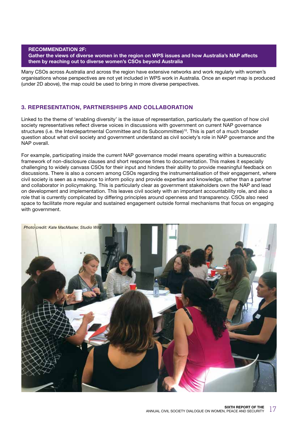#### **RECOMMENDATION 2F:**

**Gather the views of diverse women in the region on WPS issues and how Australia's NAP affects them by reaching out to diverse women's CSOs beyond Australia** 

Many CSOs across Australia and across the region have extensive networks and work regularly with women's organisations whose perspectives are not yet included in WPS work in Australia. Once an expert map is produced (under 2D above), the map could be used to bring in more diverse perspectives.

#### **3. REPRESENTATION, PARTNERSHIPS AND COLLABORATION**

Linked to the theme of 'enabling diversity' is the issue of representation, particularly the question of how civil society representatives reflect diverse voices in discussions with government on current NAP governance structures (i.e. the Interdepartmental Committee and its Subcommittee)<sup>10</sup>. This is part of a much broader question about what civil society and government understand as civil society's role in NAP governance and the NAP overall.

For example, participating inside the current NAP governance model means operating within a bureaucratic framework of non-disclosure clauses and short response times to documentation. This makes it especially challenging to widely canvass CSOs for their input and hinders their ability to provide meaningful feedback on discussions. There is also a concern among CSOs regarding the instrumentalisation of their engagement, where civil society is seen as a resource to inform policy and provide expertise and knowledge, rather than a partner and collaborator in policymaking. This is particularly clear as government stakeholders own the NAP and lead on development and implementation. This leaves civil society with an important accountability role, and also a role that is currently complicated by differing principles around openness and transparency. CSOs also need space to facilitate more regular and sustained engagement outside formal mechanisms that focus on engaging with government.

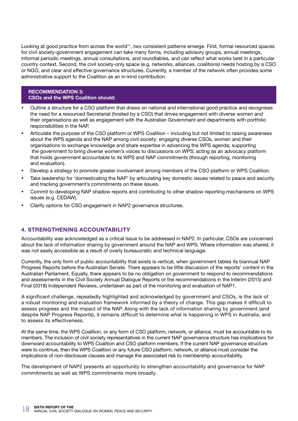Looking at good practice from across the world<sup>11</sup>, two consistent patterns emerge. First, formal resourced spaces for civil society-government engagement can take many forms, including advisory groups, annual meetings, informal periodic meetings, annual consultations, and roundtables, and can reflect what works best in a particular country context. Second, the civil society-only space (e.g. networks, alliances, coalitions) needs hosting by a CSO or NGO, and clear and effective governance structures. Currently, a member of the network often provides some administrative support to the Coalition as an in-kind contribution.

#### **RECOMMENDATION 3: CSOs and the WPS Coalition should:**

- Outline a structure for a CSO platform that draws on national and international good practice and recognises the need for a resourced Secretariat (hosted by a CSO) that drives engagement with diverse women and their organisations as well as engagement with the Australian Government and departments with portfolio responsibilities in the NAP.
- Articulate the purpose of the CSO platform or WPS Coalition including but not limited to raising awareness about the WPS agenda and the NAP among civil society; engaging diverse CSOs, women and their organisations to exchange knowledge and share expertise in advancing the WPS agenda; supporting the government to bring diverse women's voices to discussions on WPS; acting as an advocacy platform that holds government accountable to its WPS and NAP commitments (through reporting, monitoring and evaluation).
- Develop a strategy to promote greater involvement among members of the CSO platform or WPS Coalition.
- Take leadership for 'domesticating the NAP' by articulating key domestic issues related to peace and security and tracking government's commitments on these issues.
- Commit to developing NAP shadow reports and contributing to other shadow reporting mechanisms on WPS issues (e.g. CEDAW).
- Clarify options for CSO engagement in NAP2 governance structures.

#### **4. STRENGTHENING ACCOUNTABILITY**

Accountability was acknowledged as a critical issue to be addressed in NAP2. In particular, CSOs are concerned about the lack of information sharing by government around the NAP and WPS. Where information was shared, it was not easily accessible as a result of overly bureaucratic and technical language.

Currently, the only form of public accountability that exists is vertical, when government tables its biannual NAP Progress Reports before the Australian Senate. There appears to be little discussion of the reports' content in the Australian Parliament. Equally, there appears to be no obligation on government to respond to recommendations and assessments in the Civil Society Annual Dialogue Reports or the recommendations in the Interim (2015) and Final (2018) Independent Reviews, undertaken as part of the monitoring and evaluation of NAP1.

A significant challenge, repeatedly highlighted and acknowledged by government and CSOs, is the lack of a robust monitoring and evaluation framework informed by a theory of change. This gap makes it difficult to assess progress and the impact of the NAP. Along with the lack of information sharing by government (and despite NAP Progress Reports), it remains difficult to determine what is happening in WPS in Australia, and to assess its effectiveness.

At the same time, the WPS Coalition, or any form of CSO platform, network, or alliance, must be accountable to its members. The inclusion of civil society representatives in the current NAP governance structure has implications for downward accountability to WPS Coalition and CSO platform members. If the current NAP governance structure were to continue, then the WPS Coalition or any future CSO platform, network, or alliance must consider the implications of non-disclosure clauses and manage the associated risk to membership accountability.

The development of NAP2 presents an opportunity to strengthen accountability and governance for NAP commitments as well as WPS commitments more broadly.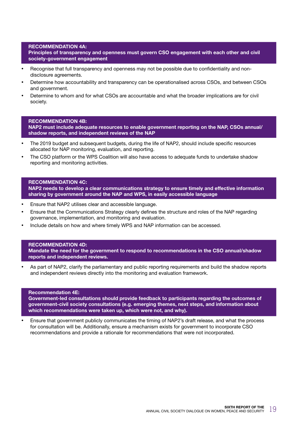#### **RECOMMENDATION 4A:**

**Principles of transparency and openness must govern CSO engagement with each other and civil society-government engagement**

- Recognise that full transparency and openness may not be possible due to confidentiality and nondisclosure agreements.
- Determine how accountability and transparency can be operationalised across CSOs, and between CSOs and government.
- Determine to whom and for what CSOs are accountable and what the broader implications are for civil society.

#### **RECOMMENDATION 4B:**

**NAP2 must include adequate resources to enable government reporting on the NAP, CSOs annual/ shadow reports, and independent reviews of the NAP**

- The 2019 budget and subsequent budgets, during the life of NAP2, should include specific resources allocated for NAP monitoring, evaluation, and reporting.
- The CSO platform or the WPS Coalition will also have access to adequate funds to undertake shadow reporting and monitoring activities.

#### **RECOMMENDATION 4C:**

**NAP2 needs to develop a clear communications strategy to ensure timely and effective information sharing by government around the NAP and WPS, in easily accessible language**

- • Ensure that NAP2 utilises clear and accessible language.
- Ensure that the Communications Strategy clearly defines the structure and roles of the NAP regarding governance, implementation, and monitoring and evaluation.
- Include details on how and where timely WPS and NAP information can be accessed.

#### **RECOMMENDATION 4D:**

**Mandate the need for the government to respond to recommendations in the CSO annual/shadow reports and independent reviews.**

As part of NAP2, clarify the parliamentary and public reporting requirements and build the shadow reports and independent reviews directly into the monitoring and evaluation framework.

#### **Recommendation 4E:**

**Government-led consultations should provide feedback to participants regarding the outcomes of government-civil society consultations (e.g. emerging themes, next steps, and information about which recommendations were taken up, which were not, and why).**

Ensure that government publicly communicates the timing of NAP2's draft release, and what the process for consultation will be. Additionally, ensure a mechanism exists for government to incorporate CSO recommendations and provide a rationale for recommendations that were not incorporated.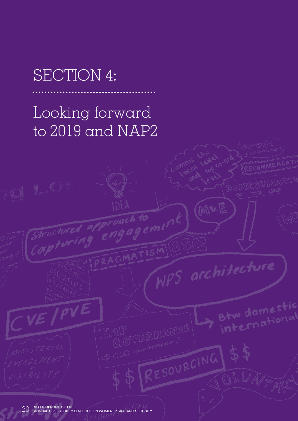## SECTION 4:

or<br>Capt<sup>us</sup>

CVE PIVE

## Looking forward to 2019 and NAP2

approach to

PRAGMATISM

 $\overline{\mathit{a}}\overline{\mathit{b}}\overline{\mathit{b}}\overline{\mathit{m}}\overline{\mathit{b}}\overline{\mathit{b}}$ 

**MacE** 

WPS architecture

Btw domestic

 $\mathfrak{F}$   $\mathfrak{F}$ 

ernational

**REPORT OF THE** DIALOGUE ON WOMEN, PEACE AND SECURITY **SIXTH REPORT OF THE** 20 ANNUAL CIVIL SOCIETY DIALOGUE ON WOMEN, PEACE AND SECURITY 21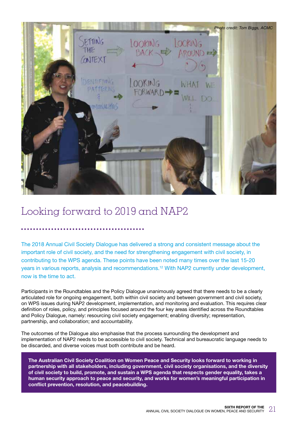

### Looking forward to 2019 and NAP2

The 2018 Annual Civil Society Dialogue has delivered a strong and consistent message about the important role of civil society, and the need for strengthening engagement with civil society, in contributing to the WPS agenda. These points have been noted many times over the last 15-20 years in various reports, analysis and recommendations.12 With NAP2 currently under development, now is the time to act.

Participants in the Roundtables and the Policy Dialogue unanimously agreed that there needs to be a clearly articulated role for ongoing engagement, both within civil society and between government and civil society, on WPS issues during NAP2 development, implementation, and monitoring and evaluation. This requires clear definition of roles, policy, and principles focused around the four key areas identified across the Roundtables and Policy Dialogue, namely: resourcing civil society engagement; enabling diversity; representation, partnership, and collaboration; and accountability.

The outcomes of the Dialogue also emphasise that the process surrounding the development and implementation of NAP2 needs to be accessible to civil society. Technical and bureaucratic language needs to be discarded, and diverse voices must both contribute and be heard.

**The Australian Civil Society Coalition on Women Peace and Security looks forward to working in partnership with all stakeholders, including government, civil society organisations, and the diversity of civil society to build, promote, and sustain a WPS agenda that respects gender equality, takes a human security approach to peace and security, and works for women's meaningful participation in conflict prevention, resolution, and peacebuilding.**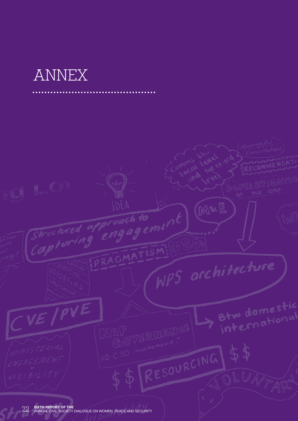## ANNEX

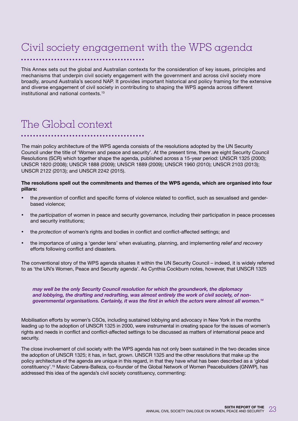### Civil society engagement with the WPS agenda

This Annex sets out the global and Australian contexts for the consideration of key issues, principles and mechanisms that underpin civil society engagement with the government and across civil society more broadly, around Australia's second NAP. It provides important historical and policy framing for the extensive and diverse engagement of civil society in contributing to shaping the WPS agenda across different institutional and national contexts.13

### The Global context

The main policy architecture of the WPS agenda consists of the resolutions adopted by the UN Security Council under the title of 'Women and peace and security'. At the present time, there are eight Security Council Resolutions (SCR) which together shape the agenda, published across a 15-year period: UNSCR 1325 (2000); UNSCR 1820 (2008); UNSCR 1888 (2009); UNSCR 1889 (2009); UNSCR 1960 (2010); UNSCR 2103 (2013); UNSCR 2122 (2013); and UNSCR 2242 (2015).

#### **The resolutions spell out the commitments and themes of the WPS agenda, which are organised into four pillars:**

- the *prevention* of conflict and specific forms of violence related to conflict, such as sexualised and genderbased violence;
- the *participation* of women in peace and security governance, including their participation in peace processes and security institutions;
- the *protection* of women's rights and bodies in conflict and conflict-affected settings; and
- the importance of using a 'gender lens' when evaluating, planning, and implementing *relief and recovery* efforts following conflict and disasters.

The conventional story of the WPS agenda situates it within the UN Security Council – indeed, it is widely referred to as 'the UN's Women, Peace and Security agenda'. As Cynthia Cockburn notes, however, that UNSCR 1325

*may well be the only Security Council resolution for which the groundwork, the diplomacy and lobbying, the drafting and redrafting, was almost entirely the work of civil society, of nongovernmental organisations. Certainly, it was the first in which the actors were almost all women.14*

Mobilisation efforts by women's CSOs, including sustained lobbying and advocacy in New York in the months leading up to the adoption of UNSCR 1325 in 2000, were instrumental in creating space for the issues of women's rights and needs in conflict and conflict-affected settings to be discussed as matters of international peace and security.

The close involvement of civil society with the WPS agenda has not only been sustained in the two decades since the adoption of UNSCR 1325; it has, in fact, grown. UNSCR 1325 and the other resolutions that make up the policy architecture of the agenda are unique in this regard, in that they have what has been described as a 'global constituency'.15 Mavic Cabrera-Balleza, co-founder of the Global Network of Women Peacebuilders (GNWP), has addressed this idea of the agenda's civil society constituency, commenting: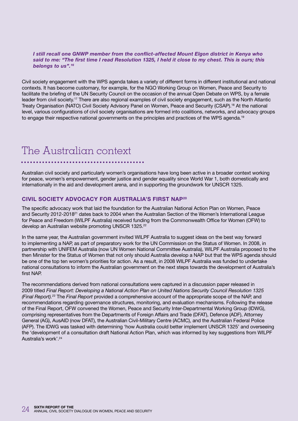*said to me: "The first time I read Resolution 1325, I held it close to my chest. This is ours; this belongs to us".16*

Civil society engagement with the WPS agenda takes a variety of different forms in different institutional and national contexts. It has become customary, for example, for the NGO Working Group on Women, Peace and Security to facilitate the briefing of the UN Security Council on the occasion of the annual Open Debate on WPS, by a female leader from civil society.17 There are also regional examples of civil society engagement, such as the North Atlantic Treaty Organisation (NATO) Civil Society Advisory Panel on Women, Peace and Security (CSAP).18 At the national level, various configurations of civil society organisations are formed into coalitions, networks, and advocacy groups to engage their respective national governments on the principles and practices of the WPS agenda.<sup>19</sup>

### The Australian context

Australian civil society and particularly women's organisations have long been active in a broader context working for peace, women's empowerment, gender justice and gender equality since World War 1, both domestically and internationally in the aid and development arena, and in supporting the groundwork for UNSCR 1325.

#### **CIVIL SOCIETY ADVOCACY FOR AUSTRALIA'S FIRST NAP20**

The specific advocacy work that laid the foundation for the Australian National Action Plan on Women, Peace and Security 2012-2018<sup>21</sup> dates back to 2004 when the Australian Section of the Women's International League for Peace and Freedom (WILPF Australia) received funding from the Commonwealth Office for Women (OFW) to develop an Australian website promoting UNSCR 1325.<sup>22</sup>

In the same year, the Australian government invited WILPF Australia to suggest ideas on the best way forward to implementing a NAP, as part of preparatory work for the UN Commission on the Status of Women. In 2008, in partnership with UNIFEM Australia (now UN Women National Committee Australia), WILPF Australia proposed to the then Minister for the Status of Women that not only should Australia develop a NAP but that the WPS agenda should be one of the top ten women's priorities for action. As a result, in 2008 WILPF Australia was funded to undertake national consultations to inform the Australian government on the next steps towards the development of Australia's first NAP.

I stull recent one convertise of the conflict release of Mount Elgon district and the constrained Mount Civil and the conflict of the conflict of the conflict one GNWP of the conflict of the conflict of the conflict of the The recommendations derived from national consultations were captured in a discussion paper released in 2009 titled *Final Report: Developing a National Action Plan on United Nations Security Council Resolution 1325 (Final Report).23* The *Final Report* provided a comprehensive account of the appropriate scope of the NAP, and recommendations regarding governance structures, monitoring, and evaluation mechanisms. Following the release of the Final Report, OFW convened the Women, Peace and Security Inter-Departmental Working Group (IDWG), comprising representatives from the Departments of Foreign Affairs and Trade (DFAT), Defence (ADF), Attorney General (AG), AusAID (now DFAT), the Australian Civil-Military Centre (ACMC), and the Australian Federal Police (AFP). The IDWG was tasked with determining 'how Australia could better implement UNSCR 1325' and overseeing the 'development of a consultation draft National Action Plan, which was informed by key suggestions from WILPF Australia's work'.<sup>24</sup>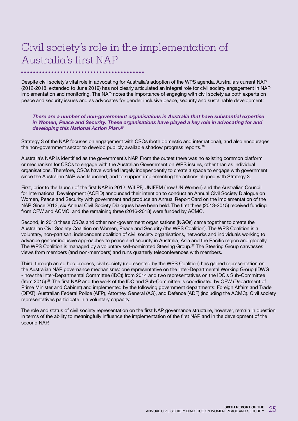## Civil society's role in the implementation of Australia's first NAP

. . . . . . . . . . . . . . . . . .

Despite civil society's vital role in advocating for Australia's adoption of the WPS agenda, Australia's current NAP (2012-2018, extended to June 2019) has not clearly articulated an integral role for civil society engagement in NAP implementation and monitoring. The NAP notes the importance of engaging with civil society as both experts on peace and security issues and as advocates for gender inclusive peace, security and sustainable development:

*There are a number of non-government organisations in Australia that have substantial expertise in Women, Peace and Security. These organisations have played a key role in advocating for and developing this National Action Plan.25*

Strategy 3 of the NAP focuses on engagement with CSOs (both domestic and international), and also encourages the non-government sector to develop publicly available shadow progress reports.<sup>26</sup>

Australia's NAP is identified as the government's NAP. From the outset there was no existing common platform or mechanism for CSOs to engage with the Australian Government on WPS issues, other than as individual organisations. Therefore, CSOs have worked largely independently to create a space to engage with government since the Australian NAP was launched, and to support implementing the actions aligned with Strategy 3.

First, prior to the launch of the first NAP in 2012, WILPF, UNIFEM (now UN Women) and the Australian Council for International Development (ACFID) announced their intention to conduct an Annual Civil Society Dialogue on Women, Peace and Security with government and produce an Annual Report Card on the implementation of the NAP. Since 2013, six Annual Civil Society Dialogues have been held. The first three (2013-2015) received funding from OFW and ACMC, and the remaining three (2016-2018) were funded by ACMC.

Second, in 2013 these CSOs and other non-government organisations (NGOs) came together to create the Australian Civil Society Coalition on Women, Peace and Security (the WPS Coalition). The WPS Coalition is a voluntary, non-partisan, independent coalition of civil society organisations, networks and individuals working to advance gender inclusive approaches to peace and security in Australia, Asia and the Pacific region and globally. The WPS Coalition is managed by a voluntary self-nominated Steering Group.<sup>27</sup> The Steering Group canvasses views from members (and non-members) and runs quarterly teleconferences with members.

Third, through an ad hoc process, civil society (represented by the WPS Coalition) has gained representation on the Australian NAP governance mechanisms: one representative on the Inter-Departmental Working Group (IDWG - now the Inter-Departmental Committee (IDC)) from 2014 and two representatives on the IDC's Sub-Committee (from 2015).28 The first NAP and the work of the IDC and Sub-Committee is coordinated by OFW (Department of Prime Minister and Cabinet) and implemented by the following government departments: Foreign Affairs and Trade (DFAT), Australian Federal Police (AFP), Attorney General (AG), and Defence (ADF) (including the ACMC). Civil society representatives participate in a voluntary capacity.

The role and status of civil society representation on the first NAP governance structure, however, remain in question in terms of the ability to meaningfully influence the implementation of the first NAP and in the development of the second NAP.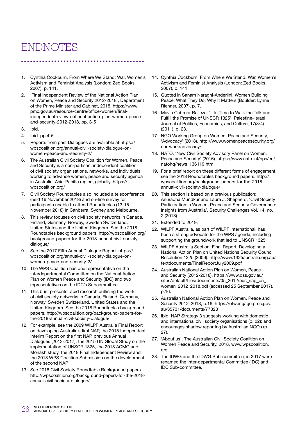## ENDNOTES

1. Cynthia Cockburn, From Where We Stand: War, Women's Activism and Feminist Analysis (London: Zed Books, 2007), p. 141.

.................................

- 2. 'Final Independent Review of the National Action Plan on Women, Peace and Security 2012-2018', Department of the Prime Minister and Cabinet, 2018, https://www. pmc.gov.au/resource-centre/office-women/finalindependentreview-national-action-plan-women-peaceand-security-2012-2018, pp. 3-5
- 3. Ibid.
- 4. Ibid. pp 4-5.
- 5. Reports from past Dialogues are available at https:// wpscoalition.org/annual-civil-society-dialogue-onwomen-peace-and-security-2/
- 6. The Australian Civil Society Coalition for Women, Peace and Security is a non-partisan, independent coalition of civil society organisations, networks, and individuals working to advance women, peace and security agenda in Australia, Asia-Pacific region, globally. https:// wpscoalition.org/
- 7. Civil Society Roundtables also included a teleconference (held 16 November 2018) and on-line survey for participants unable to attend Roundtables (13-15 November 2018) in Canberra, Sydney and Melbourne.
- 8. This review focuses on civil society networks in Canada, Finland, Germany, Norway, Sweden Switzerland, United States and the United Kingdom. See the 2018 Roundtables background papers. http://wpscoalition.org/ background-papers-for-the-2018-annual-civil-societydialogue/
- 9. See the 2017 Fifth Annual Dialogue Report. https:// wpscoalition.org/annual-civil-society-dialogue-onwomen-peace-and-security-2/
- 10. The WPS Coalition has one representative on the Interdepartmental Committee on the National Action Plan on Women Peace and Security (IDC) and two representatives on the IDC's Subcommittee
- 11. This brief presents rapid research outlining the work of civil society networks in Canada, Finland, Germany, Norway, Sweden Switzerland, United States and the United Kingdom. See the 2018 Roundtables background papers. http://wpscoalition.org/background-papers-forthe-2018-annual-civil-society-dialogue/
- 12. For example, see the 2009 WILPF Australia Final Report on developing Australia's first NAP, the 2015 Independent Interim Report on the first NAP, previous Annual Dialogues (2013-2017), the 2015 UN Global Study on the implementation of UNSCR 1325, the 2018 ACMC and Monash study, the 2018 Final Independent Review and the 2018 WPS Coalition Submission on the development of the second NAP.
- 13. See 2018 Civil Society Roundtable Background papers. http://wpscoalition.org/background-papers-for-the-2018 annual-civil-society-dialogue/
- 14. Cynthia Cockburn, From Where We Stand: War, Women's Activism and Feminist Analysis (London: Zed Books, 2007), p. 141.
- 15. Quoted in Sanam Naraghi-Anderlini, Women Building Peace: What They Do, Why It Matters (Boulder: Lynne Rienner, 2007), p. 7.
- 16. Mavic Cabrera-Balleza, 'It Is Time to Walk the Talk and Fulfill the Promise of UNSCR 1325', Palestine–Israel Journal of Politics, Economics, and Culture, 17(3/4) (2011), p. 23.
- 17. NGO Working Group on Women, Peace and Security, 'Advocacy' (2018). http://www.womenpeacesecurity.org/ our-work/advocacy/.
- 18. NATO, 'New Civil Society Advisory Panel on Women, Peace and Security' (2016). https://www.nato.int/cps/en/ natohq/news\_136119.htm.
- 19. For a brief report on these different forms of engagement, see the 2018 Roundtables background papers. http:// wpscoalition.org/background-papers-for-the-2018 annual-civil-society-dialogue/
- 20. This section is based on a previous publication: Anuradha Mundkur and Laura J. Shepherd, 'Civil Society Participation in Women, Peace and Security Governance: Insights from Australia', Security Challenges Vol. 14, no. 2 (2018).
- 21. Extended to 2019.
- 22. WILPF Australia, as part of WILPF International, has been a strong advocate for the WPS agenda, including supporting the groundwork that led to UNSCR 1325.
- 23. WILPF Australia Section, Final Report: Developing a National Action Plan on United Nations Security Council Resolution 1325 (2009). http://www.1325australia.org.au/ textdocuments/FinalReportJuly2009.pdf
- 24. Australian National Action Plan on Women, Peace and Security (2012-2018). https://www.dss.gov.au/ sites/default/files/documents/05\_2012/aus\_nap\_on women\_2012\_2018.pdf (accessed 25 September 2017), p.16.
- 25. Australian National Action Plan on Women, Peace and Security 2012–2018, p.16, https://ofwengage.pmc.gov. au/35731/documents/77828
- 26. Ibid. NAP Strategy 3 suggests working with domestic and international civil society organisations (p. 22); and encourages shadow reporting by Australian NGOs (p. 27).
- 27. 'About us', The Australian Civil Society Coalition on Women Peace and Security, 2018, www.wpscoalition. org.
- 28. The IDWG and the IDWG Sub-committee, in 2017 were renamed the Inter-departmental Committee (IDC) and IDC Sub-committee.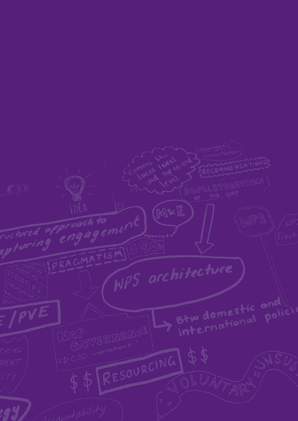